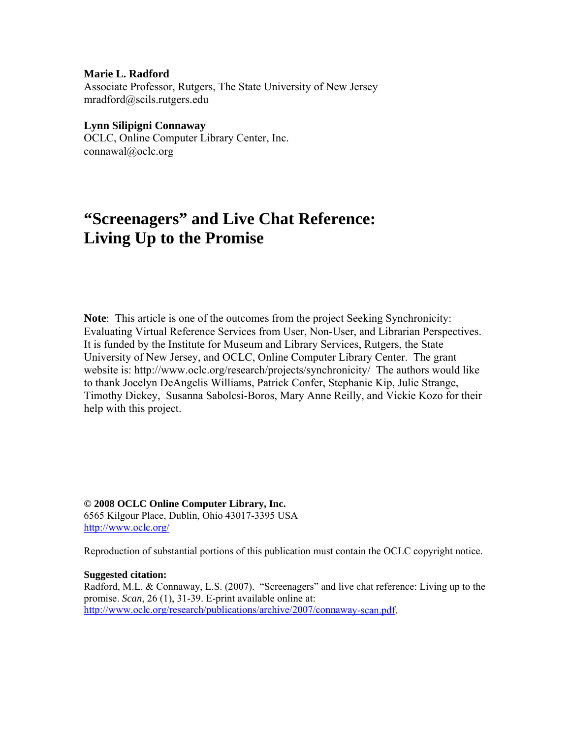#### **Marie L. Radford**

Associate Professor, Rutgers, The State University of New Jersey mradford@scils.rutgers.edu

#### **Lynn Silipigni Connaway**

OCLC, Online Computer Library Center, Inc. connawal@oclc.org

# **"Screenagers" and Live Chat Reference: Living Up to the Promise**

**Note**: This article is one of the outcomes from the project Seeking Synchronicity: Evaluating Virtual Reference Services from User, Non-User, and Librarian Perspectives. It is funded by the Institute for Museum and Library Services, Rutgers, the State University of New Jersey, and OCLC, Online Computer Library Center. The grant website is: http://www.oclc.org/research/projects/synchronicity/ The authors would like to thank Jocelyn DeAngelis Williams, Patrick Confer, Stephanie Kip, Julie Strange, Timothy Dickey, Susanna Sabolcsi-Boros, Mary Anne Reilly, and Vickie Kozo for their help with this project.

**© 2008 OCLC Online Computer Library, Inc.** 6565 Kilgour Place, Dublin, Ohio 43017-3395 USA <http://www.oclc.org/>

Reproduction of substantial portions of this publication must contain the OCLC copyright notice.

#### **Suggested citation:**

Radford, M.L. & Connaway, L.S. (2007). "Screenagers" and live chat reference: Living up to the promise. *Scan*, 26 (1), 31-39. E-print available online at: [http://www.oclc.org/research/publications/archive/2007/connaway-scan.pdf.](http://www.oclc.org/research/publications/archive/2007/connaway-scan.pdf)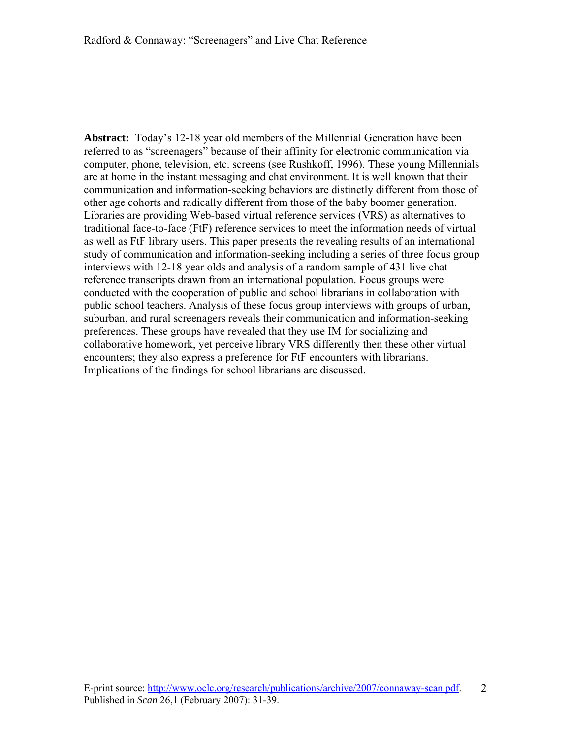**Abstract:** Today's 12-18 year old members of the Millennial Generation have been referred to as "screenagers" because of their affinity for electronic communication via computer, phone, television, etc. screens (see Rushkoff, 1996). These young Millennials are at home in the instant messaging and chat environment. It is well known that their communication and information-seeking behaviors are distinctly different from those of other age cohorts and radically different from those of the baby boomer generation. Libraries are providing Web-based virtual reference services (VRS) as alternatives to traditional face-to-face (FtF) reference services to meet the information needs of virtual as well as FtF library users. This paper presents the revealing results of an international study of communication and information-seeking including a series of three focus group interviews with 12-18 year olds and analysis of a random sample of 431 live chat reference transcripts drawn from an international population. Focus groups were conducted with the cooperation of public and school librarians in collaboration with public school teachers. Analysis of these focus group interviews with groups of urban, suburban, and rural screenagers reveals their communication and information-seeking preferences. These groups have revealed that they use IM for socializing and collaborative homework, yet perceive library VRS differently then these other virtual encounters; they also express a preference for FtF encounters with librarians. Implications of the findings for school librarians are discussed.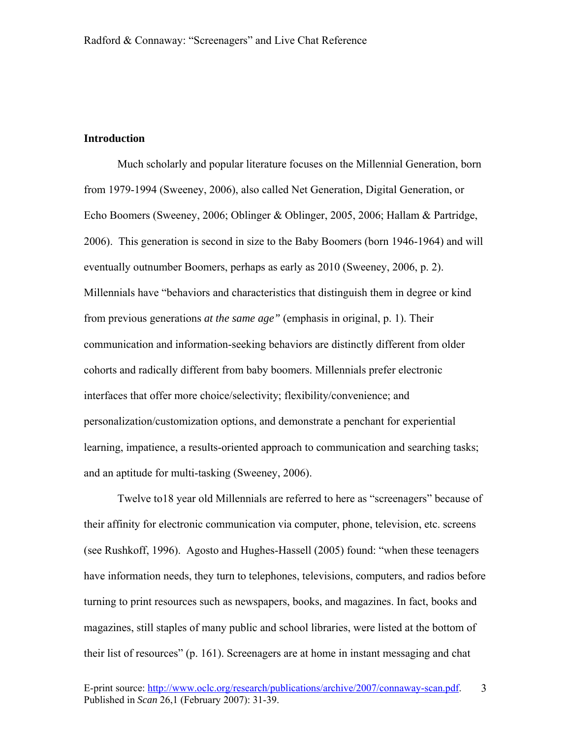### **Introduction**

Much scholarly and popular literature focuses on the Millennial Generation, born from 1979-1994 (Sweeney, 2006), also called Net Generation, Digital Generation, or Echo Boomers (Sweeney, 2006; Oblinger & Oblinger, 2005, 2006; Hallam & Partridge, 2006). This generation is second in size to the Baby Boomers (born 1946-1964) and will eventually outnumber Boomers, perhaps as early as 2010 (Sweeney, 2006, p. 2). Millennials have "behaviors and characteristics that distinguish them in degree or kind from previous generations *at the same age"* (emphasis in original, p. 1). Their communication and information-seeking behaviors are distinctly different from older cohorts and radically different from baby boomers. Millennials prefer electronic interfaces that offer more choice/selectivity; flexibility/convenience; and personalization/customization options, and demonstrate a penchant for experiential learning, impatience, a results-oriented approach to communication and searching tasks; and an aptitude for multi-tasking (Sweeney, 2006).

Twelve to18 year old Millennials are referred to here as "screenagers" because of their affinity for electronic communication via computer, phone, television, etc. screens (see Rushkoff, 1996). Agosto and Hughes-Hassell (2005) found: "when these teenagers have information needs, they turn to telephones, televisions, computers, and radios before turning to print resources such as newspapers, books, and magazines. In fact, books and magazines, still staples of many public and school libraries, were listed at the bottom of their list of resources" (p. 161). Screenagers are at home in instant messaging and chat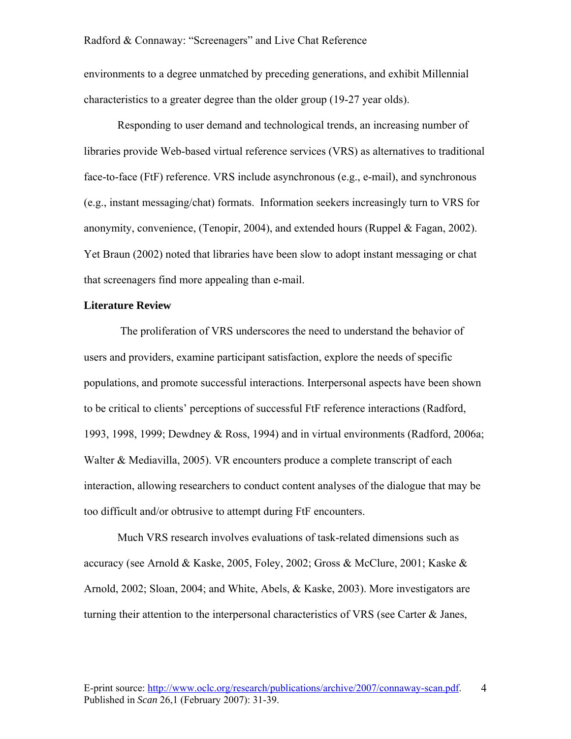environments to a degree unmatched by preceding generations, and exhibit Millennial characteristics to a greater degree than the older group (19-27 year olds).

 Responding to user demand and technological trends, an increasing number of libraries provide Web-based virtual reference services (VRS) as alternatives to traditional face-to-face (FtF) reference. VRS include asynchronous (e.g., e-mail), and synchronous (e.g., instant messaging/chat) formats. Information seekers increasingly turn to VRS for anonymity, convenience, (Tenopir, 2004), and extended hours (Ruppel & Fagan, 2002). Yet Braun (2002) noted that libraries have been slow to adopt instant messaging or chat that screenagers find more appealing than e-mail.

#### **Literature Review**

 The proliferation of VRS underscores the need to understand the behavior of users and providers, examine participant satisfaction, explore the needs of specific populations, and promote successful interactions. Interpersonal aspects have been shown to be critical to clients' perceptions of successful FtF reference interactions (Radford, 1993, 1998, 1999; Dewdney & Ross, 1994) and in virtual environments (Radford, 2006a; Walter & Mediavilla, 2005). VR encounters produce a complete transcript of each interaction, allowing researchers to conduct content analyses of the dialogue that may be too difficult and/or obtrusive to attempt during FtF encounters.

 Much VRS research involves evaluations of task-related dimensions such as accuracy (see Arnold & Kaske, 2005, Foley, 2002; Gross & McClure, 2001; Kaske & Arnold, 2002; Sloan, 2004; and White, Abels, & Kaske, 2003). More investigators are turning their attention to the interpersonal characteristics of VRS (see Carter & Janes,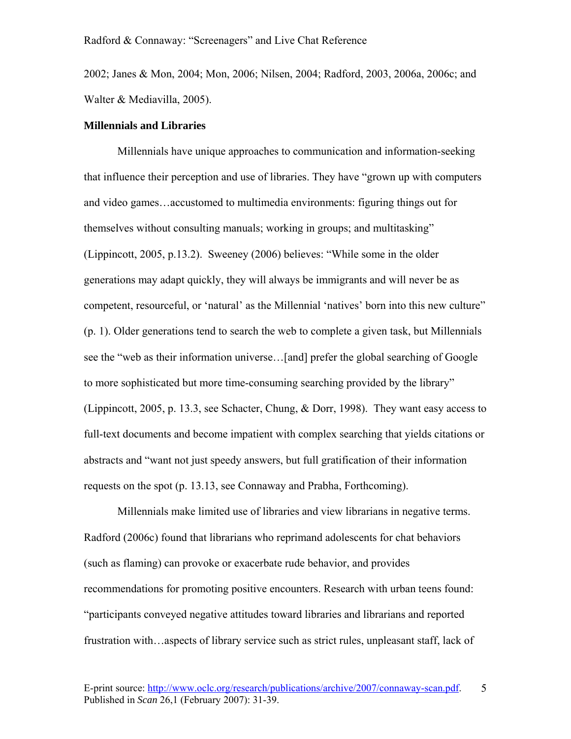2002; Janes & Mon, 2004; Mon, 2006; Nilsen, 2004; Radford, 2003, 2006a, 2006c; and Walter & Mediavilla, 2005).

#### **Millennials and Libraries**

Millennials have unique approaches to communication and information-seeking that influence their perception and use of libraries. They have "grown up with computers and video games…accustomed to multimedia environments: figuring things out for themselves without consulting manuals; working in groups; and multitasking" (Lippincott, 2005, p.13.2). Sweeney (2006) believes: "While some in the older generations may adapt quickly, they will always be immigrants and will never be as competent, resourceful, or 'natural' as the Millennial 'natives' born into this new culture" (p. 1). Older generations tend to search the web to complete a given task, but Millennials see the "web as their information universe…[and] prefer the global searching of Google to more sophisticated but more time-consuming searching provided by the library" (Lippincott, 2005, p. 13.3, see Schacter, Chung, & Dorr, 1998). They want easy access to full-text documents and become impatient with complex searching that yields citations or abstracts and "want not just speedy answers, but full gratification of their information requests on the spot (p. 13.13, see Connaway and Prabha, Forthcoming).

Millennials make limited use of libraries and view librarians in negative terms. Radford (2006c) found that librarians who reprimand adolescents for chat behaviors (such as flaming) can provoke or exacerbate rude behavior, and provides recommendations for promoting positive encounters. Research with urban teens found: "participants conveyed negative attitudes toward libraries and librarians and reported frustration with…aspects of library service such as strict rules, unpleasant staff, lack of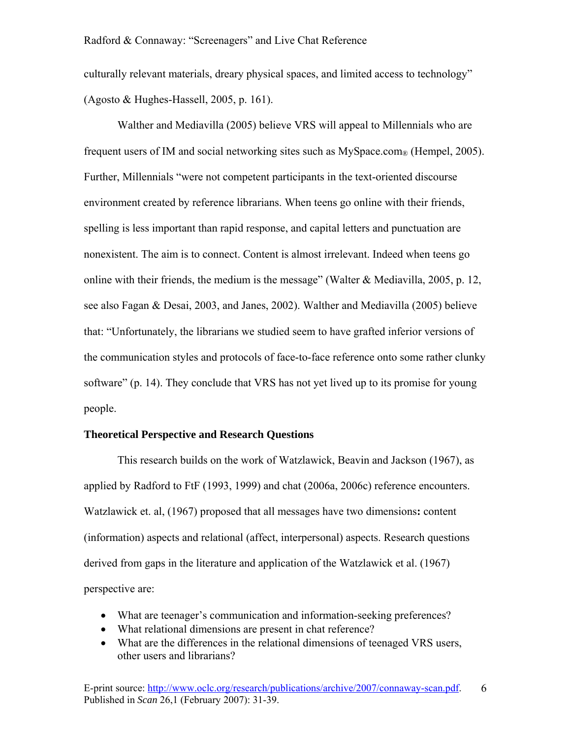culturally relevant materials, dreary physical spaces, and limited access to technology" (Agosto & Hughes-Hassell, 2005, p. 161).

Walther and Mediavilla (2005) believe VRS will appeal to Millennials who are frequent users of IM and social networking sites such as  $MySpace.com$  (Hempel, 2005). Further, Millennials "were not competent participants in the text-oriented discourse environment created by reference librarians. When teens go online with their friends, spelling is less important than rapid response, and capital letters and punctuation are nonexistent. The aim is to connect. Content is almost irrelevant. Indeed when teens go online with their friends, the medium is the message" (Walter  $\&$  Mediavilla, 2005, p. 12, see also Fagan & Desai, 2003, and Janes, 2002). Walther and Mediavilla (2005) believe that: "Unfortunately, the librarians we studied seem to have grafted inferior versions of the communication styles and protocols of face-to-face reference onto some rather clunky software" (p. 14). They conclude that VRS has not yet lived up to its promise for young people.

#### **Theoretical Perspective and Research Questions**

This research builds on the work of Watzlawick, Beavin and Jackson (1967), as applied by Radford to FtF (1993, 1999) and chat (2006a, 2006c) reference encounters. Watzlawick et. al, (1967) proposed that all messages have two dimensions**:** content (information) aspects and relational (affect, interpersonal) aspects. Research questions derived from gaps in the literature and application of the Watzlawick et al. (1967) perspective are:

- What are teenager's communication and information-seeking preferences?
- What relational dimensions are present in chat reference?
- What are the differences in the relational dimensions of teenaged VRS users, other users and librarians?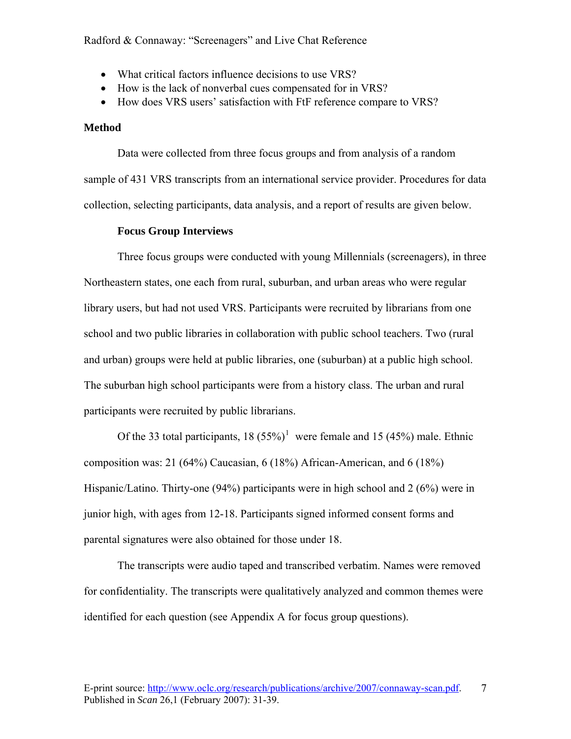- What critical factors influence decisions to use VRS?
- How is the lack of nonverbal cues compensated for in VRS?
- How does VRS users' satisfaction with FtF reference compare to VRS?

#### **Method**

 Data were collected from three focus groups and from analysis of a random sample of 431 VRS transcripts from an international service provider. Procedures for data collection, selecting participants, data analysis, and a report of results are given below.

#### **Focus Group Interviews**

 Three focus groups were conducted with young Millennials (screenagers), in three Northeastern states, one each from rural, suburban, and urban areas who were regular library users, but had not used VRS. Participants were recruited by librarians from one school and two public libraries in collaboration with public school teachers. Two (rural and urban) groups were held at public libraries, one (suburban) at a public high school. The suburban high school participants were from a history class. The urban and rural participants were recruited by public librarians.

Of the 33 total participants,  $18 (55\%)^1$  $18 (55\%)^1$  were female and 15 (45%) male. Ethnic composition was: 21 (64%) Caucasian, 6 (18%) African-American, and 6 (18%) Hispanic/Latino. Thirty-one (94%) participants were in high school and 2 (6%) were in junior high, with ages from 12-18. Participants signed informed consent forms and parental signatures were also obtained for those under 18.

The transcripts were audio taped and transcribed verbatim. Names were removed for confidentiality. The transcripts were qualitatively analyzed and common themes were identified for each question (see Appendix A for focus group questions).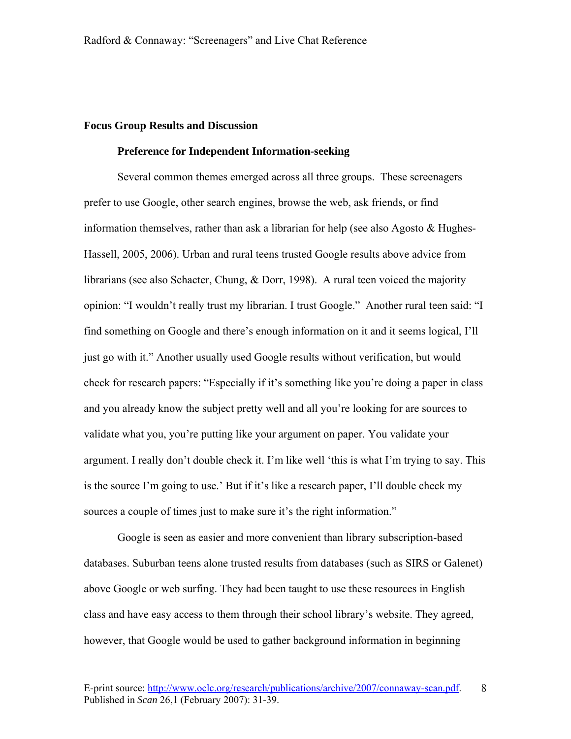#### **Focus Group Results and Discussion**

#### **Preference for Independent Information-seeking**

Several common themes emerged across all three groups. These screenagers prefer to use Google, other search engines, browse the web, ask friends, or find information themselves, rather than ask a librarian for help (see also Agosto & Hughes-Hassell, 2005, 2006). Urban and rural teens trusted Google results above advice from librarians (see also Schacter, Chung, & Dorr, 1998). A rural teen voiced the majority opinion: "I wouldn't really trust my librarian. I trust Google." Another rural teen said: "I find something on Google and there's enough information on it and it seems logical, I'll just go with it." Another usually used Google results without verification, but would check for research papers: "Especially if it's something like you're doing a paper in class and you already know the subject pretty well and all you're looking for are sources to validate what you, you're putting like your argument on paper. You validate your argument. I really don't double check it. I'm like well 'this is what I'm trying to say. This is the source I'm going to use.' But if it's like a research paper, I'll double check my sources a couple of times just to make sure it's the right information."

Google is seen as easier and more convenient than library subscription-based databases. Suburban teens alone trusted results from databases (such as SIRS or Galenet) above Google or web surfing. They had been taught to use these resources in English class and have easy access to them through their school library's website. They agreed, however, that Google would be used to gather background information in beginning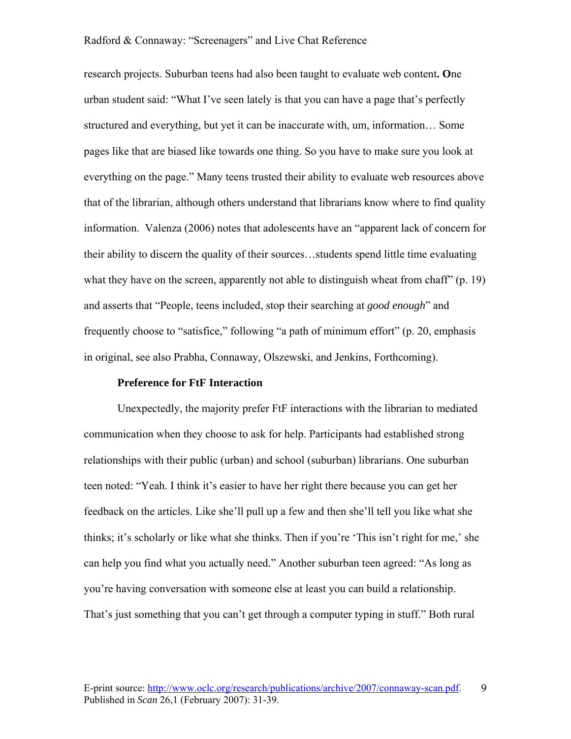research projects. Suburban teens had also been taught to evaluate web content**. O**ne urban student said: "What I've seen lately is that you can have a page that's perfectly structured and everything, but yet it can be inaccurate with, um, information… Some pages like that are biased like towards one thing. So you have to make sure you look at everything on the page." Many teens trusted their ability to evaluate web resources above that of the librarian, although others understand that librarians know where to find quality information. Valenza (2006) notes that adolescents have an "apparent lack of concern for their ability to discern the quality of their sources…students spend little time evaluating what they have on the screen, apparently not able to distinguish wheat from chaff" (p. 19) and asserts that "People, teens included, stop their searching at *good enough*" and frequently choose to "satisfice," following "a path of minimum effort" (p. 20, emphasis in original, see also Prabha, Connaway, Olszewski, and Jenkins, Forthcoming).

#### **Preference for FtF Interaction**

Unexpectedly, the majority prefer FtF interactions with the librarian to mediated communication when they choose to ask for help. Participants had established strong relationships with their public (urban) and school (suburban) librarians. One suburban teen noted: "Yeah. I think it's easier to have her right there because you can get her feedback on the articles. Like she'll pull up a few and then she'll tell you like what she thinks; it's scholarly or like what she thinks. Then if you're 'This isn't right for me,' she can help you find what you actually need." Another suburban teen agreed: "As long as you're having conversation with someone else at least you can build a relationship. That's just something that you can't get through a computer typing in stuff." Both rural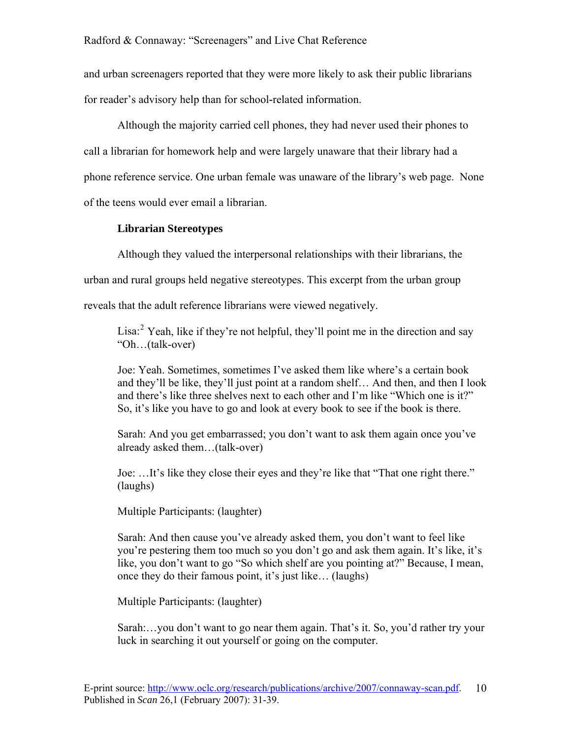and urban screenagers reported that they were more likely to ask their public librarians for reader's advisory help than for school**-**related information.

Although the majority carried cell phones, they had never used their phones to call a librarian for homework help and were largely unaware that their library had a phone reference service. One urban female was unaware of the library's web page. None of the teens would ever email a librarian.

## **Librarian Stereotypes**

Although they valued the interpersonal relationships with their librarians, the

urban and rural groups held negative stereotypes. This excerpt from the urban group

reveals that the adult reference librarians were viewed negatively.

Lisa:<sup>[2](#page-31-1)</sup> Yeah, like if they're not helpful, they'll point me in the direction and say "Oh…(talk-over)

Joe: Yeah. Sometimes, sometimes I've asked them like where's a certain book and they'll be like, they'll just point at a random shelf… And then, and then I look and there's like three shelves next to each other and I'm like "Which one is it?" So, it's like you have to go and look at every book to see if the book is there.

Sarah: And you get embarrassed; you don't want to ask them again once you've already asked them…(talk-over)

Joe: …It's like they close their eyes and they're like that "That one right there." (laughs)

Multiple Participants: (laughter)

Sarah: And then cause you've already asked them, you don't want to feel like you're pestering them too much so you don't go and ask them again. It's like, it's like, you don't want to go "So which shelf are you pointing at?" Because, I mean, once they do their famous point, it's just like… (laughs)

Multiple Participants: (laughter)

Sarah:…you don't want to go near them again. That's it. So, you'd rather try your luck in searching it out yourself or going on the computer.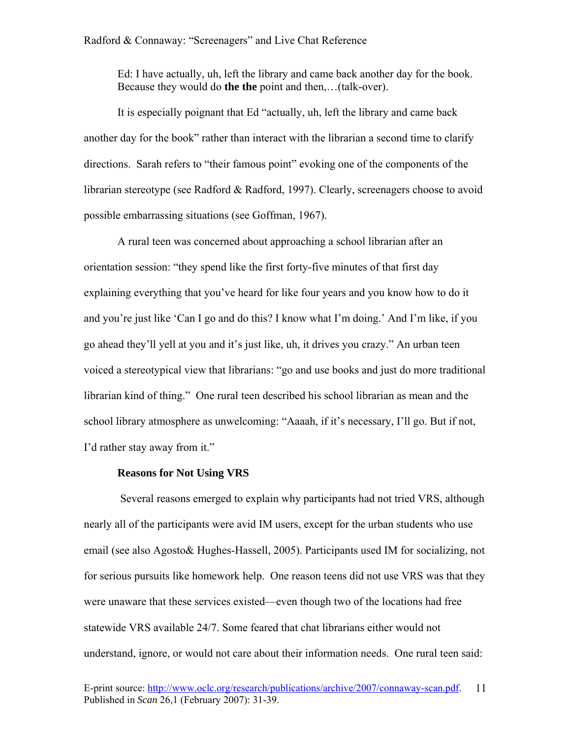Ed: I have actually, uh, left the library and came back another day for the book. Because they would do **the the** point and then,…(talk-over).

It is especially poignant that Ed "actually, uh, left the library and came back another day for the book" rather than interact with the librarian a second time to clarify directions. Sarah refers to "their famous point" evoking one of the components of the librarian stereotype (see Radford & Radford, 1997). Clearly, screenagers choose to avoid possible embarrassing situations (see Goffman, 1967).

A rural teen was concerned about approaching a school librarian after an orientation session: "they spend like the first forty-five minutes of that first day explaining everything that you've heard for like four years and you know how to do it and you're just like 'Can I go and do this? I know what I'm doing.' And I'm like, if you go ahead they'll yell at you and it's just like, uh, it drives you crazy." An urban teen voiced a stereotypical view that librarians: "go and use books and just do more traditional librarian kind of thing." One rural teen described his school librarian as mean and the school library atmosphere as unwelcoming: "Aaaah, if it's necessary, I'll go. But if not, I'd rather stay away from it."

#### **Reasons for Not Using VRS**

 Several reasons emerged to explain why participants had not tried VRS, although nearly all of the participants were avid IM users, except for the urban students who use email (see also Agosto& Hughes-Hassell, 2005). Participants used IM for socializing, not for serious pursuits like homework help. One reason teens did not use VRS was that they were unaware that these services existed—even though two of the locations had free statewide VRS available 24/7. Some feared that chat librarians either would not understand, ignore, or would not care about their information needs. One rural teen said: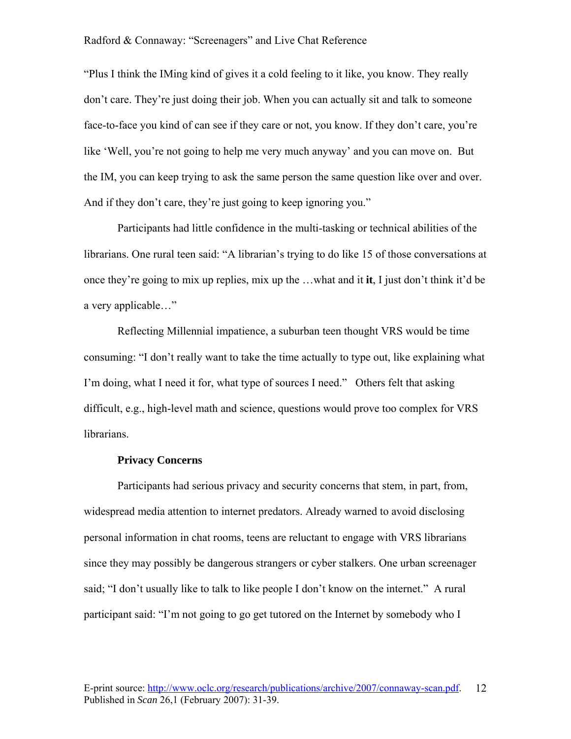"Plus I think the IMing kind of gives it a cold feeling to it like, you know. They really don't care. They're just doing their job. When you can actually sit and talk to someone face-to-face you kind of can see if they care or not, you know. If they don't care, you're like 'Well, you're not going to help me very much anyway' and you can move on. But the IM, you can keep trying to ask the same person the same question like over and over. And if they don't care, they're just going to keep ignoring you."

Participants had little confidence in the multi-tasking or technical abilities of the librarians. One rural teen said: "A librarian's trying to do like 15 of those conversations at once they're going to mix up replies, mix up the …what and it **it**, I just don't think it'd be a very applicable…"

 Reflecting Millennial impatience, a suburban teen thought VRS would be time consuming: "I don't really want to take the time actually to type out, like explaining what I'm doing, what I need it for, what type of sources I need." Others felt that asking difficult, e.g., high-level math and science, questions would prove too complex for VRS librarians.

#### **Privacy Concerns**

Participants had serious privacy and security concerns that stem, in part, from, widespread media attention to internet predators. Already warned to avoid disclosing personal information in chat rooms, teens are reluctant to engage with VRS librarians since they may possibly be dangerous strangers or cyber stalkers. One urban screenager said; "I don't usually like to talk to like people I don't know on the internet." A rural participant said: "I'm not going to go get tutored on the Internet by somebody who I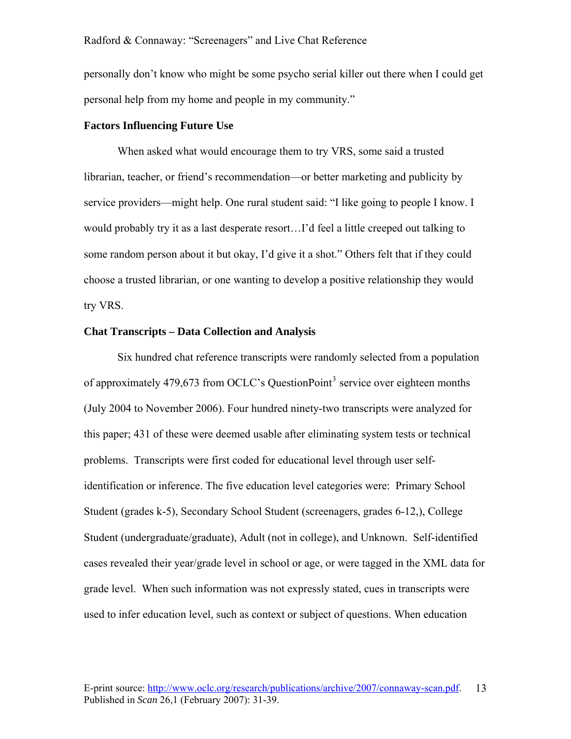personally don't know who might be some psycho serial killer out there when I could get personal help from my home and people in my community."

#### **Factors Influencing Future Use**

 When asked what would encourage them to try VRS, some said a trusted librarian, teacher, or friend's recommendation—or better marketing and publicity by service providers—might help. One rural student said: "I like going to people I know. I would probably try it as a last desperate resort…I'd feel a little creeped out talking to some random person about it but okay, I'd give it a shot." Others felt that if they could choose a trusted librarian, or one wanting to develop a positive relationship they would try VRS.

#### **Chat Transcripts – Data Collection and Analysis**

Six hundred chat reference transcripts were randomly selected from a population of approximately 479,67[3](#page-31-2) from OCLC's QuestionPoint<sup>3</sup> service over eighteen months (July 2004 to November 2006). Four hundred ninety-two transcripts were analyzed for this paper; 431 of these were deemed usable after eliminating system tests or technical problems. Transcripts were first coded for educational level through user selfidentification or inference. The five education level categories were: Primary School Student (grades k-5), Secondary School Student (screenagers, grades 6-12,), College Student (undergraduate/graduate), Adult (not in college), and Unknown. Self-identified cases revealed their year/grade level in school or age, or were tagged in the XML data for grade level. When such information was not expressly stated, cues in transcripts were used to infer education level, such as context or subject of questions. When education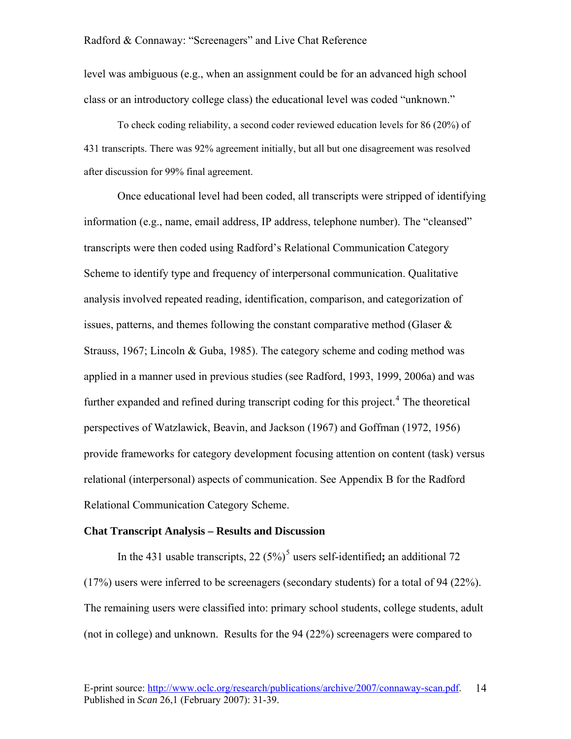level was ambiguous (e.g., when an assignment could be for an advanced high school class or an introductory college class) the educational level was coded "unknown."

To check coding reliability, a second coder reviewed education levels for 86 (20%) of 431 transcripts. There was 92% agreement initially, but all but one disagreement was resolved after discussion for 99% final agreement.

Once educational level had been coded, all transcripts were stripped of identifying information (e.g., name, email address, IP address, telephone number). The "cleansed" transcripts were then coded using Radford's Relational Communication Category Scheme to identify type and frequency of interpersonal communication. Qualitative analysis involved repeated reading, identification, comparison, and categorization of issues, patterns, and themes following the constant comparative method (Glaser  $\&$ Strauss, 1967; Lincoln & Guba, 1985). The category scheme and coding method was applied in a manner used in previous studies (see Radford, 1993, 1999, 2006a) and was further expanded and refined during transcript coding for this project.<sup>[4](#page-31-3)</sup> The theoretical perspectives of Watzlawick, Beavin, and Jackson (1967) and Goffman (1972, 1956) provide frameworks for category development focusing attention on content (task) versus relational (interpersonal) aspects of communication. See Appendix B for the Radford Relational Communication Category Scheme.

#### **Chat Transcript Analysis – Results and Discussion**

In the 431 usable transcripts, 22 ([5](#page-31-4)%)<sup>5</sup> users self-identified; an additional 72 (17%) users were inferred to be screenagers (secondary students) for a total of 94 (22%). The remaining users were classified into: primary school students, college students, adult (not in college) and unknown. Results for the 94 (22%) screenagers were compared to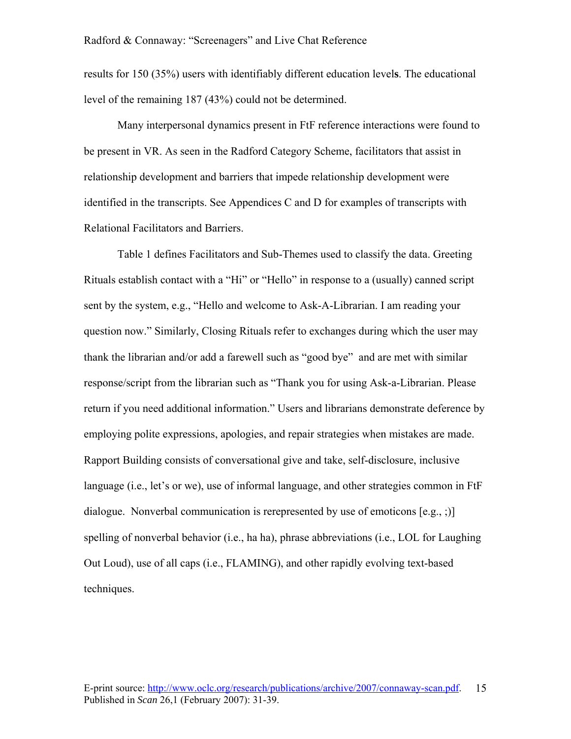results for 150 (35%) users with identifiably different education level**s**. The educational level of the remaining 187 (43%) could not be determined.

Many interpersonal dynamics present in FtF reference interactions were found to be present in VR. As seen in the Radford Category Scheme, facilitators that assist in relationship development and barriers that impede relationship development were identified in the transcripts. See Appendices C and D for examples of transcripts with Relational Facilitators and Barriers.

 Table 1 defines Facilitators and Sub-Themes used to classify the data. Greeting Rituals establish contact with a "Hi" or "Hello" in response to a (usually) canned script sent by the system, e.g., "Hello and welcome to Ask-A-Librarian. I am reading your question now." Similarly, Closing Rituals refer to exchanges during which the user may thank the librarian and/or add a farewell such as "good bye" and are met with similar response/script from the librarian such as "Thank you for using Ask-a-Librarian. Please return if you need additional information." Users and librarians demonstrate deference by employing polite expressions, apologies, and repair strategies when mistakes are made. Rapport Building consists of conversational give and take, self-disclosure, inclusive language (i.e., let's or we), use of informal language, and other strategies common in FtF dialogue. Nonverbal communication is rerepresented by use of emoticons [e.g., ;)] spelling of nonverbal behavior (i.e., ha ha), phrase abbreviations (i.e., LOL for Laughing Out Loud), use of all caps (i.e., FLAMING), and other rapidly evolving text-based techniques.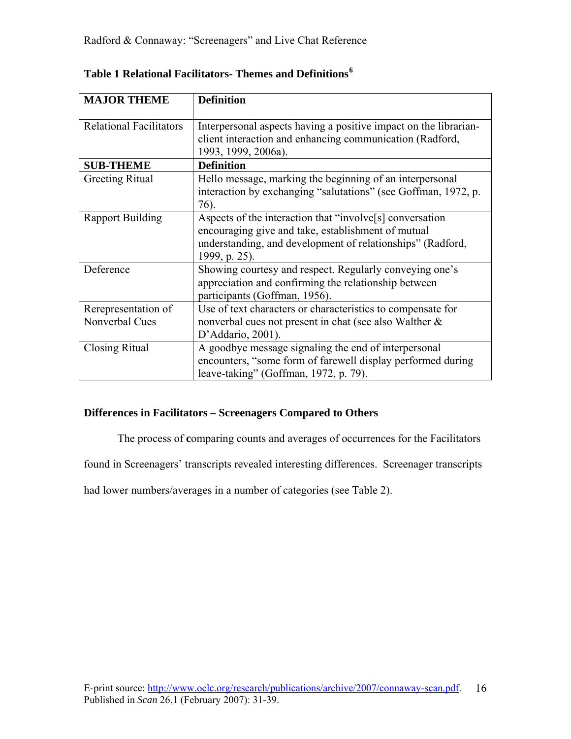| <b>MAJOR THEME</b>                    | <b>Definition</b>                                                                                                                                                                             |
|---------------------------------------|-----------------------------------------------------------------------------------------------------------------------------------------------------------------------------------------------|
| <b>Relational Facilitators</b>        | Interpersonal aspects having a positive impact on the librarian-<br>client interaction and enhancing communication (Radford,<br>1993, 1999, 2006a).                                           |
| <b>SUB-THEME</b>                      | <b>Definition</b>                                                                                                                                                                             |
| <b>Greeting Ritual</b>                | Hello message, marking the beginning of an interpersonal<br>interaction by exchanging "salutations" (see Goffman, 1972, p.<br>76).                                                            |
| <b>Rapport Building</b>               | Aspects of the interaction that "involve[s] conversation<br>encouraging give and take, establishment of mutual<br>understanding, and development of relationships" (Radford,<br>1999, p. 25). |
| Deference                             | Showing courtesy and respect. Regularly conveying one's<br>appreciation and confirming the relationship between<br>participants (Goffman, 1956).                                              |
| Rerepresentation of<br>Nonverbal Cues | Use of text characters or characteristics to compensate for<br>nonverbal cues not present in chat (see also Walther &<br>D'Addario, 2001).                                                    |
| Closing Ritual                        | A goodbye message signaling the end of interpersonal<br>encounters, "some form of farewell display performed during<br>leave-taking" (Goffman, 1972, p. 79).                                  |

| Table 1 Relational Facilitators- Themes and Definitions <sup>6</sup> |  |
|----------------------------------------------------------------------|--|
|----------------------------------------------------------------------|--|

## **Differences in Facilitators – Screenagers Compared to Others**

The process of **c**omparing counts and averages of occurrences for the Facilitators

found in Screenagers' transcripts revealed interesting differences. Screenager transcripts

had lower numbers/averages in a number of categories (see Table 2).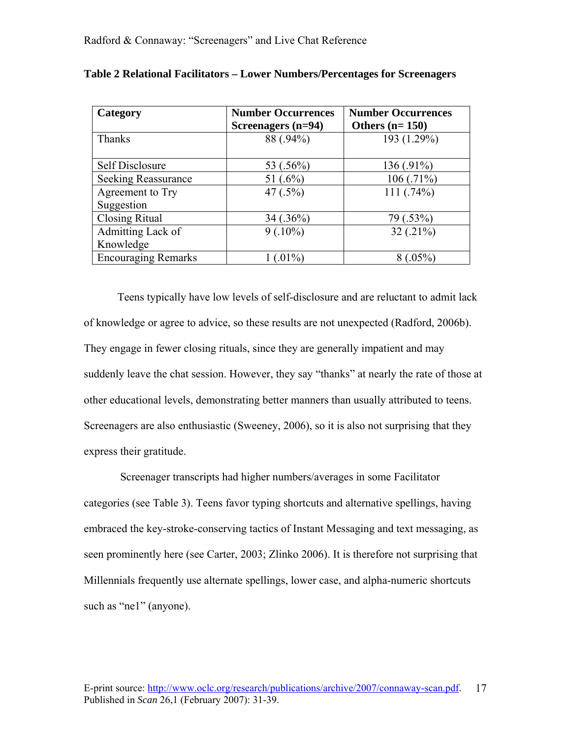| Category                   | <b>Number Occurrences</b><br>Screenagers (n=94) | <b>Number Occurrences</b><br>Others $(n=150)$ |
|----------------------------|-------------------------------------------------|-----------------------------------------------|
| Thanks                     | 88 (.94%)                                       | 193 (1.29%)                                   |
|                            |                                                 |                                               |
| <b>Self Disclosure</b>     | 53 (.56%)                                       | 136 (.91%)                                    |
| Seeking Reassurance        | 51 $(.6\%)$                                     | 106(.71%)                                     |
| Agreement to Try           | 47 $(.5\%)$                                     | 111(.74%)                                     |
| Suggestion                 |                                                 |                                               |
| <b>Closing Ritual</b>      | $34(.36\%)$                                     | 79 (.53%)                                     |
| Admitting Lack of          | $9(.10\%)$                                      | $32(.21\%)$                                   |
| Knowledge                  |                                                 |                                               |
| <b>Encouraging Remarks</b> | $1(.01\%)$                                      | $8(.05\%)$                                    |

| Table 2 Relational Facilitators - Lower Numbers/Percentages for Screenagers |  |  |  |
|-----------------------------------------------------------------------------|--|--|--|
|                                                                             |  |  |  |

 Teens typically have low levels of self-disclosure and are reluctant to admit lack of knowledge or agree to advice, so these results are not unexpected (Radford, 2006b). They engage in fewer closing rituals, since they are generally impatient and may suddenly leave the chat session. However, they say "thanks" at nearly the rate of those at other educational levels, demonstrating better manners than usually attributed to teens. Screenagers are also enthusiastic (Sweeney, 2006), so it is also not surprising that they express their gratitude.

 Screenager transcripts had higher numbers/averages in some Facilitator categories (see Table 3). Teens favor typing shortcuts and alternative spellings, having embraced the key-stroke-conserving tactics of Instant Messaging and text messaging, as seen prominently here (see Carter, 2003; Zlinko 2006). It is therefore not surprising that Millennials frequently use alternate spellings, lower case, and alpha-numeric shortcuts such as "nel" (anyone).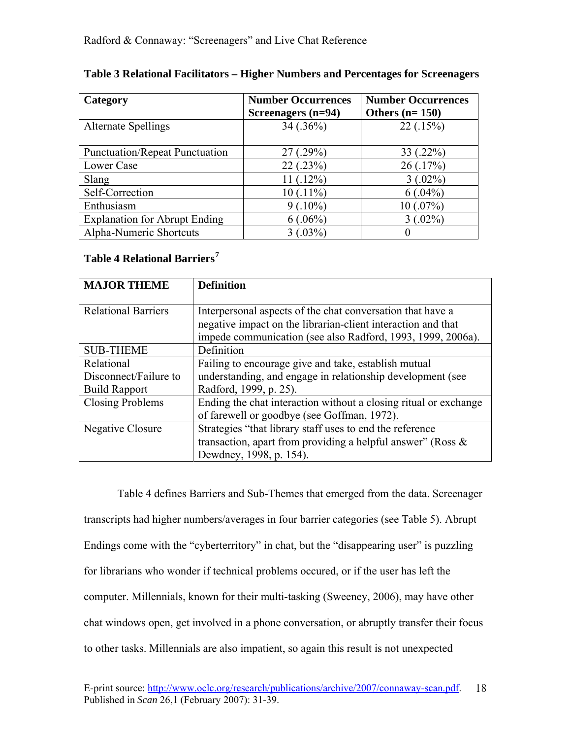| Category                              | <b>Number Occurrences</b><br>Screenagers $(n=94)$ | <b>Number Occurrences</b><br>Others $(n=150)$ |
|---------------------------------------|---------------------------------------------------|-----------------------------------------------|
| <b>Alternate Spellings</b>            | $34(.36\%)$                                       | 22(.15%)                                      |
| <b>Punctuation/Repeat Punctuation</b> | 27(.29%)                                          | $33(.22\%)$                                   |
| Lower Case                            | 22(.23%)                                          | 26(.17%)                                      |
| Slang                                 | $11(.12\%)$                                       | $3(.02\%)$                                    |
| Self-Correction                       | $10(.11\%)$                                       | $6(.04\%)$                                    |
| Enthusiasm                            | $9(.10\%)$                                        | 10(.07%)                                      |
| <b>Explanation for Abrupt Ending</b>  | $6(.06\%)$                                        | $3(.02\%)$                                    |
| Alpha-Numeric Shortcuts               | $3(.03\%)$                                        |                                               |

## **Table 3 Relational Facilitators – Higher Numbers and Percentages for Screenagers**

## **Table 4 Relational Barriers[7](#page-31-6)**

| <b>MAJOR THEME</b>         | <b>Definition</b>                                                |
|----------------------------|------------------------------------------------------------------|
|                            |                                                                  |
| <b>Relational Barriers</b> | Interpersonal aspects of the chat conversation that have a       |
|                            | negative impact on the librarian-client interaction and that     |
|                            | impede communication (see also Radford, 1993, 1999, 2006a).      |
| <b>SUB-THEME</b>           | Definition                                                       |
| Relational                 | Failing to encourage give and take, establish mutual             |
| Disconnect/Failure to      | understanding, and engage in relationship development (see       |
| <b>Build Rapport</b>       | Radford, 1999, p. 25).                                           |
| <b>Closing Problems</b>    | Ending the chat interaction without a closing ritual or exchange |
|                            | of farewell or goodbye (see Goffman, 1972).                      |
| Negative Closure           | Strategies "that library staff uses to end the reference         |
|                            | transaction, apart from providing a helpful answer" (Ross $\&$   |
|                            | Dewdney, 1998, p. 154).                                          |

Table 4 defines Barriers and Sub-Themes that emerged from the data. Screenager transcripts had higher numbers/averages in four barrier categories (see Table 5). Abrupt Endings come with the "cyberterritory" in chat, but the "disappearing user" is puzzling for librarians who wonder if technical problems occured, or if the user has left the computer. Millennials, known for their multi-tasking (Sweeney, 2006), may have other chat windows open, get involved in a phone conversation, or abruptly transfer their focus to other tasks. Millennials are also impatient, so again this result is not unexpected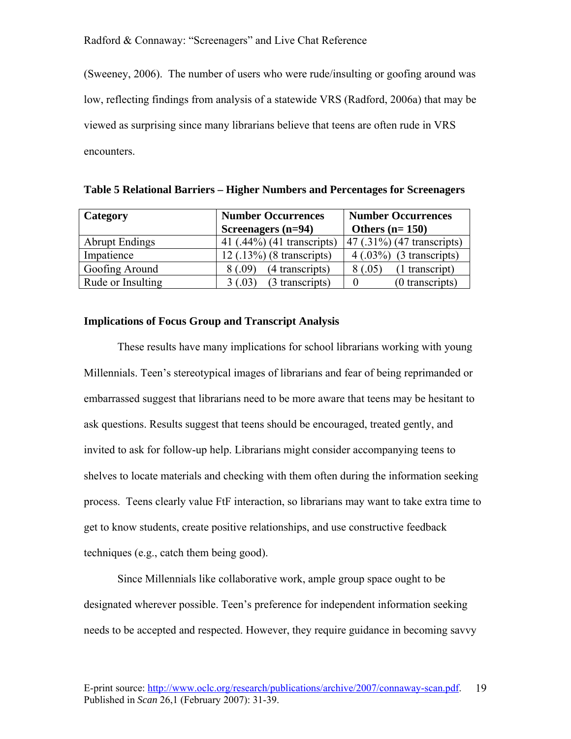(Sweeney, 2006). The number of users who were rude/insulting or goofing around was low, reflecting findings from analysis of a statewide VRS (Radford, 2006a) that may be viewed as surprising since many librarians believe that teens are often rude in VRS encounters.

| Category              | <b>Number Occurrences</b>   | <b>Number Occurrences</b>      |  |
|-----------------------|-----------------------------|--------------------------------|--|
|                       | Screenagers (n=94)          | Others $(n=150)$               |  |
| <b>Abrupt Endings</b> | 41 (.44%) (41 transcripts)  | $(47)(.31\%)$ (47 transcripts) |  |
| Impatience            | $12$ (.13%) (8 transcripts) | $4(.03%)$ (3 transcripts)      |  |
| Goofing Around        | 8(.09)<br>(4 transcripts)   | (1 transcript)<br>8(.05)       |  |
| Rude or Insulting     | (3 transcripts)<br>3(.03)   | (0 transcripts)                |  |

**Table 5 Relational Barriers – Higher Numbers and Percentages for Screenagers** 

#### **Implications of Focus Group and Transcript Analysis**

 These results have many implications for school librarians working with young Millennials. Teen's stereotypical images of librarians and fear of being reprimanded or embarrassed suggest that librarians need to be more aware that teens may be hesitant to ask questions. Results suggest that teens should be encouraged, treated gently, and invited to ask for follow-up help. Librarians might consider accompanying teens to shelves to locate materials and checking with them often during the information seeking process. Teens clearly value FtF interaction, so librarians may want to take extra time to get to know students, create positive relationships, and use constructive feedback techniques (e.g., catch them being good).

 Since Millennials like collaborative work, ample group space ought to be designated wherever possible. Teen's preference for independent information seeking needs to be accepted and respected. However, they require guidance in becoming savvy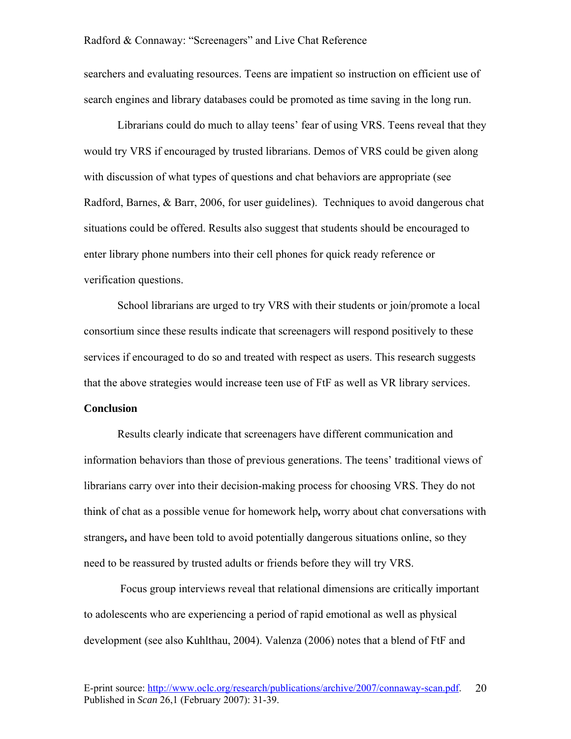searchers and evaluating resources. Teens are impatient so instruction on efficient use of search engines and library databases could be promoted as time saving in the long run.

 Librarians could do much to allay teens' fear of using VRS. Teens reveal that they would try VRS if encouraged by trusted librarians. Demos of VRS could be given along with discussion of what types of questions and chat behaviors are appropriate (see Radford, Barnes, & Barr, 2006, for user guidelines). Techniques to avoid dangerous chat situations could be offered. Results also suggest that students should be encouraged to enter library phone numbers into their cell phones for quick ready reference or verification questions.

 School librarians are urged to try VRS with their students or join/promote a local consortium since these results indicate that screenagers will respond positively to these services if encouraged to do so and treated with respect as users. This research suggests that the above strategies would increase teen use of FtF as well as VR library services.

#### **Conclusion**

 Results clearly indicate that screenagers have different communication and information behaviors than those of previous generations. The teens' traditional views of librarians carry over into their decision-making process for choosing VRS. They do not think of chat as a possible venue for homework help**,** worry about chat conversations with strangers**,** and have been told to avoid potentially dangerous situations online, so they need to be reassured by trusted adults or friends before they will try VRS.

 Focus group interviews reveal that relational dimensions are critically important to adolescents who are experiencing a period of rapid emotional as well as physical development (see also Kuhlthau, 2004). Valenza (2006) notes that a blend of FtF and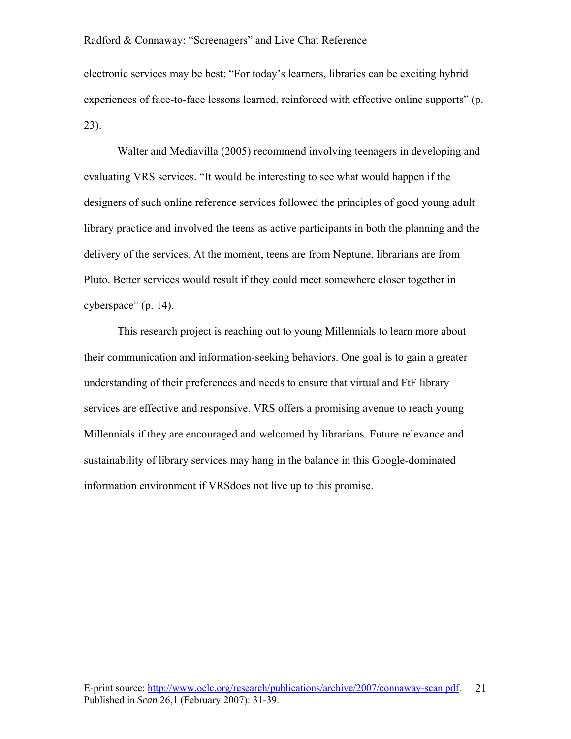electronic services may be best: "For today's learners, libraries can be exciting hybrid experiences of face-to-face lessons learned, reinforced with effective online supports" (p. 23).

 Walter and Mediavilla (2005) recommend involving teenagers in developing and evaluating VRS services. "It would be interesting to see what would happen if the designers of such online reference services followed the principles of good young adult library practice and involved the teens as active participants in both the planning and the delivery of the services. At the moment, teens are from Neptune, librarians are from Pluto. Better services would result if they could meet somewhere closer together in cyberspace" (p. 14).

 This research project is reaching out to young Millennials to learn more about their communication and information-seeking behaviors. One goal is to gain a greater understanding of their preferences and needs to ensure that virtual and FtF library services are effective and responsive. VRS offers a promising avenue to reach young Millennials if they are encouraged and welcomed by librarians. Future relevance and sustainability of library services may hang in the balance in this Google-dominated information environment if VRSdoes not live up to this promise.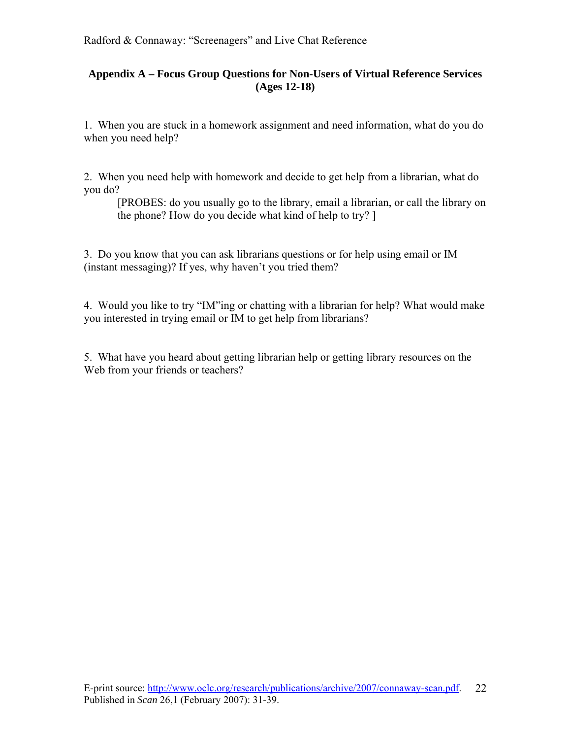## **Appendix A – Focus Group Questions for Non-Users of Virtual Reference Services (Ages 12-18)**

1. When you are stuck in a homework assignment and need information, what do you do when you need help?

2. When you need help with homework and decide to get help from a librarian, what do you do?

[PROBES: do you usually go to the library, email a librarian, or call the library on the phone? How do you decide what kind of help to try? ]

3. Do you know that you can ask librarians questions or for help using email or IM (instant messaging)? If yes, why haven't you tried them?

4. Would you like to try "IM"ing or chatting with a librarian for help? What would make you interested in trying email or IM to get help from librarians?

5. What have you heard about getting librarian help or getting library resources on the Web from your friends or teachers?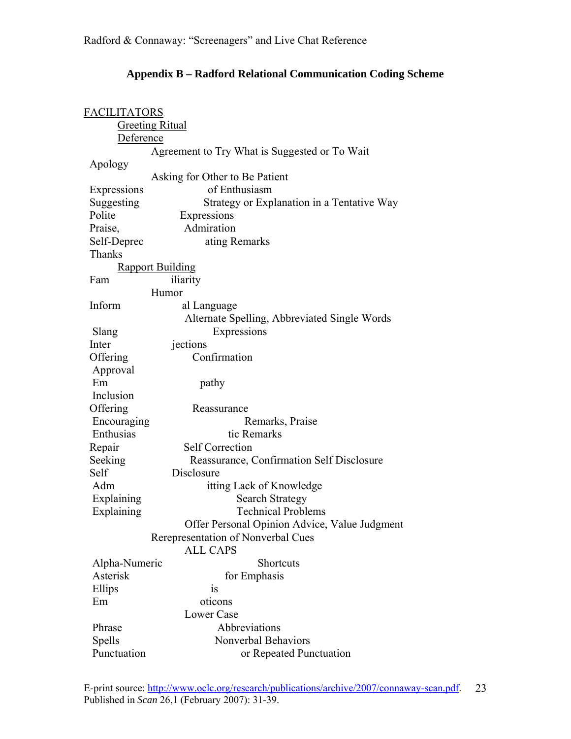| <b>FACILITATORS</b>    |                                               |  |  |
|------------------------|-----------------------------------------------|--|--|
| <b>Greeting Ritual</b> |                                               |  |  |
| Deference              |                                               |  |  |
|                        | Agreement to Try What is Suggested or To Wait |  |  |
| Apology                |                                               |  |  |
|                        | Asking for Other to Be Patient                |  |  |
| Expressions            | of Enthusiasm                                 |  |  |
| Suggesting             | Strategy or Explanation in a Tentative Way    |  |  |
| Polite                 | Expressions                                   |  |  |
| Praise,                | Admiration                                    |  |  |
| Self-Deprec            | ating Remarks                                 |  |  |
| <b>Thanks</b>          |                                               |  |  |
|                        | <b>Rapport Building</b>                       |  |  |
| Fam                    | iliarity                                      |  |  |
|                        | Humor                                         |  |  |
| Inform                 | al Language                                   |  |  |
|                        | Alternate Spelling, Abbreviated Single Words  |  |  |
| Slang                  | Expressions                                   |  |  |
| Inter                  | jections                                      |  |  |
| Offering               | Confirmation                                  |  |  |
| Approval               |                                               |  |  |
| Em                     | pathy                                         |  |  |
| Inclusion              |                                               |  |  |
| Offering               | Reassurance                                   |  |  |
| Encouraging            | Remarks, Praise                               |  |  |
| Enthusias              | tic Remarks                                   |  |  |
| Repair                 | <b>Self Correction</b>                        |  |  |
| Seeking                | Reassurance, Confirmation Self Disclosure     |  |  |
| Self                   | Disclosure                                    |  |  |
| Adm                    | itting Lack of Knowledge                      |  |  |
| Explaining             | <b>Search Strategy</b>                        |  |  |
| Explaining             | <b>Technical Problems</b>                     |  |  |
|                        | Offer Personal Opinion Advice, Value Judgment |  |  |
|                        | Rerepresentation of Nonverbal Cues            |  |  |
|                        | <b>ALL CAPS</b>                               |  |  |
| Alpha-Numeric          | <b>Shortcuts</b>                              |  |  |
| Asterisk               | for Emphasis                                  |  |  |
| Ellips                 | 1S                                            |  |  |
| Em                     | oticons                                       |  |  |
|                        | <b>Lower Case</b>                             |  |  |
| Phrase                 | Abbreviations                                 |  |  |
| Spells                 | Nonverbal Behaviors                           |  |  |
| Punctuation            | or Repeated Punctuation                       |  |  |

## **Appendix B – Radford Relational Communication Coding Scheme**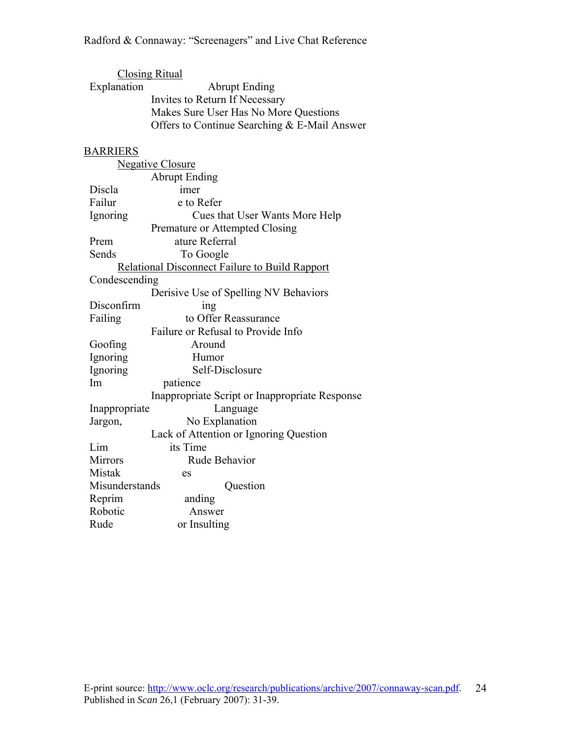| <b>Closing Ritual</b> |                                                       |  |  |
|-----------------------|-------------------------------------------------------|--|--|
| Explanation           | <b>Abrupt Ending</b>                                  |  |  |
|                       | Invites to Return If Necessary                        |  |  |
|                       | Makes Sure User Has No More Questions                 |  |  |
|                       | Offers to Continue Searching & E-Mail Answer          |  |  |
|                       |                                                       |  |  |
| <b>BARRIERS</b>       |                                                       |  |  |
|                       | <b>Negative Closure</b>                               |  |  |
|                       | <b>Abrupt Ending</b>                                  |  |  |
| Discla                | imer                                                  |  |  |
| Failur                | e to Refer                                            |  |  |
| Ignoring              | Cues that User Wants More Help                        |  |  |
|                       | Premature or Attempted Closing                        |  |  |
| Prem                  | ature Referral                                        |  |  |
| Sends                 | To Google                                             |  |  |
|                       | <b>Relational Disconnect Failure to Build Rapport</b> |  |  |
| Condescending         |                                                       |  |  |
|                       | Derisive Use of Spelling NV Behaviors                 |  |  |
| Disconfirm            | ing                                                   |  |  |
| Failing               | to Offer Reassurance                                  |  |  |
|                       | Failure or Refusal to Provide Info                    |  |  |
| Goofing               | Around                                                |  |  |
| Ignoring              | Humor                                                 |  |  |
| Ignoring              | Self-Disclosure                                       |  |  |
| Im                    | patience                                              |  |  |
|                       | Inappropriate Script or Inappropriate Response        |  |  |
| Inappropriate         | Language                                              |  |  |
| Jargon,               | No Explanation                                        |  |  |
|                       | Lack of Attention or Ignoring Question                |  |  |
| Lim                   | its Time                                              |  |  |
| Mirrors               | Rude Behavior                                         |  |  |
| Mistak                | es                                                    |  |  |
| Misunderstands        | Question                                              |  |  |
| Reprim                | anding                                                |  |  |
| Robotic               | Answer                                                |  |  |
| Rude                  | or Insulting                                          |  |  |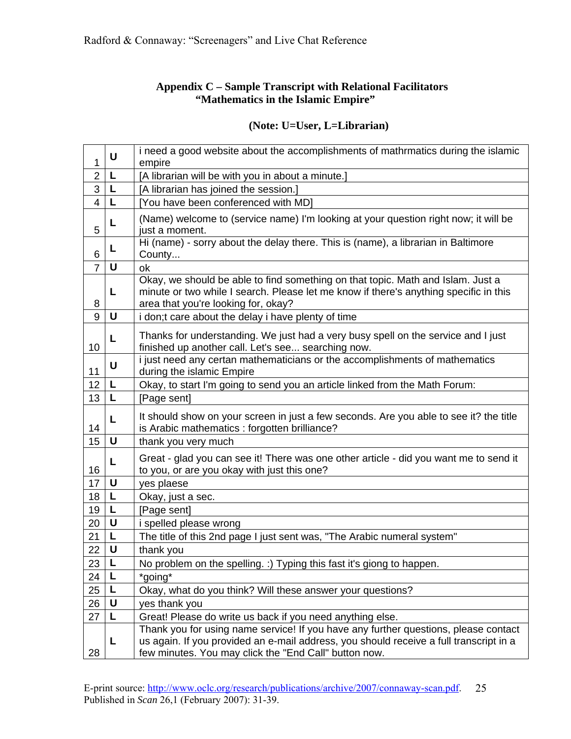## **Appendix C – Sample Transcript with Relational Facilitators "Mathematics in the Islamic Empire"**

| 1              | U  | i need a good website about the accomplishments of mathrmatics during the islamic<br>empire                                                                                                                                            |
|----------------|----|----------------------------------------------------------------------------------------------------------------------------------------------------------------------------------------------------------------------------------------|
| $\overline{2}$ | L  | [A librarian will be with you in about a minute.]                                                                                                                                                                                      |
| 3              | L  | [A librarian has joined the session.]                                                                                                                                                                                                  |
| $\overline{4}$ | L  | [You have been conferenced with MD]                                                                                                                                                                                                    |
| 5              | L  | (Name) welcome to (service name) I'm looking at your question right now; it will be<br>just a moment.                                                                                                                                  |
| 6              | L  | Hi (name) - sorry about the delay there. This is (name), a librarian in Baltimore<br>County                                                                                                                                            |
| $\overline{7}$ | U  | ok                                                                                                                                                                                                                                     |
| 8              | L  | Okay, we should be able to find something on that topic. Math and Islam. Just a<br>minute or two while I search. Please let me know if there's anything specific in this<br>area that you're looking for, okay?                        |
| 9              | U  | i don;t care about the delay i have plenty of time                                                                                                                                                                                     |
| 10             | L  | Thanks for understanding. We just had a very busy spell on the service and I just<br>finished up another call. Let's see searching now.                                                                                                |
| 11             | U  | i just need any certan mathematicians or the accomplishments of mathematics<br>during the islamic Empire                                                                                                                               |
| 12             | L  | Okay, to start I'm going to send you an article linked from the Math Forum:                                                                                                                                                            |
| 13             | L  | [Page sent]                                                                                                                                                                                                                            |
| 14             | L  | It should show on your screen in just a few seconds. Are you able to see it? the title<br>is Arabic mathematics : forgotten brilliance?                                                                                                |
| 15             | U  | thank you very much                                                                                                                                                                                                                    |
| 16             | L  | Great - glad you can see it! There was one other article - did you want me to send it<br>to you, or are you okay with just this one?                                                                                                   |
| 17             | U  | yes plaese                                                                                                                                                                                                                             |
| 18             | L  | Okay, just a sec.                                                                                                                                                                                                                      |
| 19             | L  | [Page sent]                                                                                                                                                                                                                            |
| 20             | U  | i spelled please wrong                                                                                                                                                                                                                 |
| 21             | L  | The title of this 2nd page I just sent was, "The Arabic numeral system"                                                                                                                                                                |
| 22             | U  | thank you                                                                                                                                                                                                                              |
| $\frac{23}{1}$ | ▏L | No problem on the spelling. :) Typing this fast it's giong to happen.                                                                                                                                                                  |
| 24             | Г  | *going*                                                                                                                                                                                                                                |
| <b>25</b>      | L  | Okay, what do you think? Will these answer your questions?                                                                                                                                                                             |
| 26             | U  | yes thank you                                                                                                                                                                                                                          |
| 27             | L  | Great! Please do write us back if you need anything else.                                                                                                                                                                              |
| 28             | L  | Thank you for using name service! If you have any further questions, please contact<br>us again. If you provided an e-mail address, you should receive a full transcript in a<br>few minutes. You may click the "End Call" button now. |

## **(Note: U=User, L=Librarian)**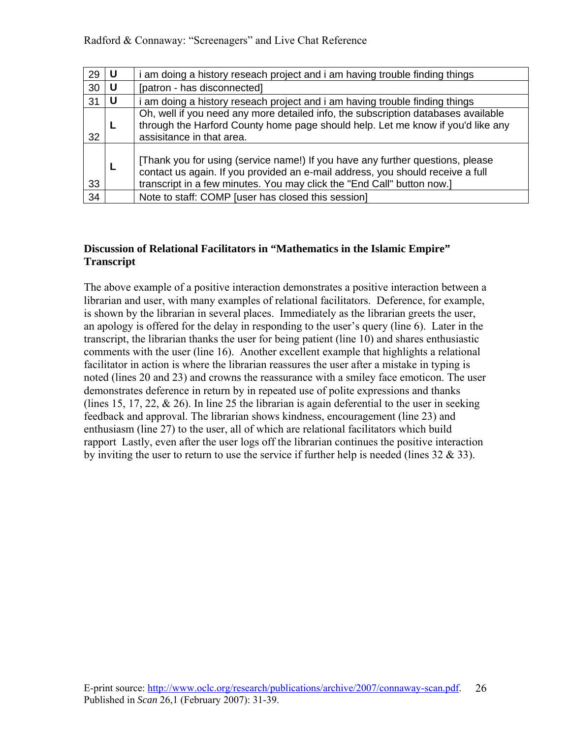| 29 | l U | i am doing a history reseach project and i am having trouble finding things                                                                                                                                                                |
|----|-----|--------------------------------------------------------------------------------------------------------------------------------------------------------------------------------------------------------------------------------------------|
| 30 | -U  | [patron - has disconnected]                                                                                                                                                                                                                |
| 31 |     | i am doing a history reseach project and i am having trouble finding things                                                                                                                                                                |
| 32 |     | Oh, well if you need any more detailed info, the subscription databases available<br>through the Harford County home page should help. Let me know if you'd like any<br>assisitance in that area.                                          |
| 33 |     | [Thank you for using (service name!) If you have any further questions, please<br>contact us again. If you provided an e-mail address, you should receive a full<br>transcript in a few minutes. You may click the "End Call" button now.] |
| 34 |     | Note to staff: COMP [user has closed this session]                                                                                                                                                                                         |

## **Discussion of Relational Facilitators in "Mathematics in the Islamic Empire" Transcript**

The above example of a positive interaction demonstrates a positive interaction between a librarian and user, with many examples of relational facilitators. Deference, for example, is shown by the librarian in several places. Immediately as the librarian greets the user, an apology is offered for the delay in responding to the user's query (line 6). Later in the transcript, the librarian thanks the user for being patient (line 10) and shares enthusiastic comments with the user (line 16). Another excellent example that highlights a relational facilitator in action is where the librarian reassures the user after a mistake in typing is noted (lines 20 and 23) and crowns the reassurance with a smiley face emoticon. The user demonstrates deference in return by in repeated use of polite expressions and thanks (lines 15, 17, 22,  $\&$  26). In line 25 the librarian is again deferential to the user in seeking feedback and approval. The librarian shows kindness, encouragement (line 23) and enthusiasm (line 27) to the user, all of which are relational facilitators which build rapport Lastly, even after the user logs off the librarian continues the positive interaction by inviting the user to return to use the service if further help is needed (lines  $32 \& 33$ ).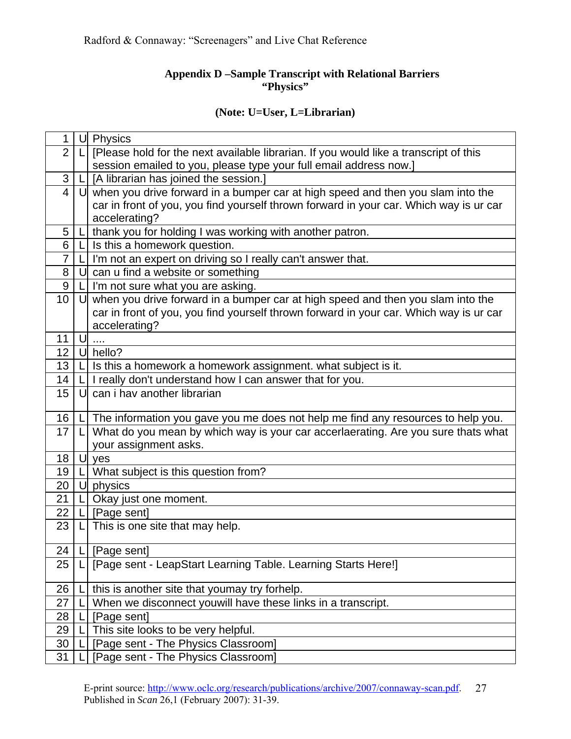## **Appendix D –Sample Transcript with Relational Barriers "Physics"**

## **(Note: U=User, L=Librarian)**

| 1              | U | Physics                                                                                |
|----------------|---|----------------------------------------------------------------------------------------|
| $\overline{2}$ |   | [Please hold for the next available librarian. If you would like a transcript of this  |
|                |   | session emailed to you, please type your full email address now.]                      |
| 3              |   | [A librarian has joined the session.]                                                  |
| $\overline{4}$ |   | $U$ when you drive forward in a bumper car at high speed and then you slam into the    |
|                |   | car in front of you, you find yourself thrown forward in your car. Which way is ur car |
|                |   | accelerating?                                                                          |
| 5              |   | thank you for holding I was working with another patron.                               |
| 6              |   | Is this a homework question.                                                           |
| $\overline{7}$ |   | I'm not an expert on driving so I really can't answer that.                            |
| 8              | U | can u find a website or something                                                      |
| 9              |   | I'm not sure what you are asking.                                                      |
| 10             | U | when you drive forward in a bumper car at high speed and then you slam into the        |
|                |   | car in front of you, you find yourself thrown forward in your car. Which way is ur car |
|                |   | accelerating?                                                                          |
| 11             | U |                                                                                        |
| 12             | U | hello?                                                                                 |
| 13             |   | Is this a homework a homework assignment. what subject is it.                          |
| 14             |   | I really don't understand how I can answer that for you.                               |
| 15             | U | can i hav another librarian                                                            |
|                |   |                                                                                        |
| 16             |   | The information you gave you me does not help me find any resources to help you.       |
| 17             |   | What do you mean by which way is your car accerlaerating. Are you sure thats what      |
|                |   | your assignment asks.                                                                  |
| 18             | U | yes                                                                                    |
| 19             |   | What subject is this question from?                                                    |
| 20             | U | physics                                                                                |
| 21             |   | Okay just one moment.                                                                  |
| 22             |   | [Page_sent]                                                                            |
| 23             |   | This is one site that may help.                                                        |
|                |   |                                                                                        |
| 24             |   | $L$ [Page sent]                                                                        |
| 25             |   | [Page sent - LeapStart Learning Table. Learning Starts Here!]                          |
| 26             |   | this is another site that youmay try forhelp.                                          |
| 27             |   | When we disconnect youwill have these links in a transcript.                           |
| 28             |   | [Page sent]                                                                            |
| 29             |   | This site looks to be very helpful.                                                    |
| 30             |   | [Page sent - The Physics Classroom]                                                    |
| 31             |   | [Page sent - The Physics Classroom]                                                    |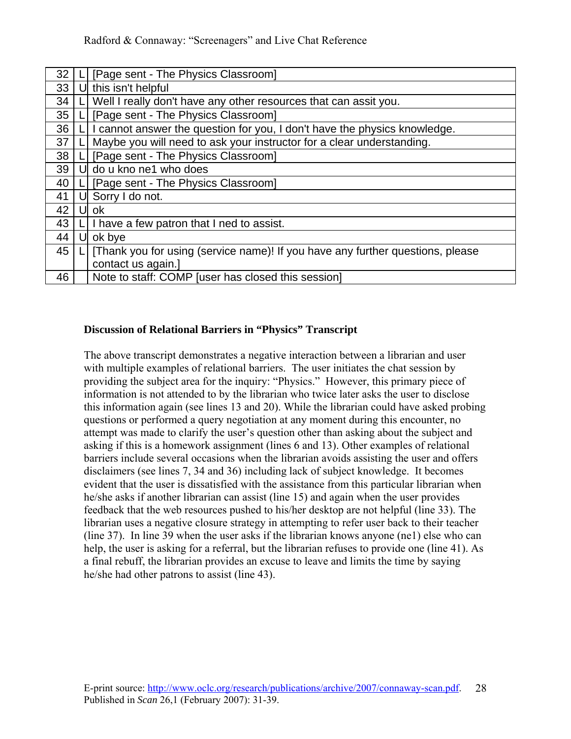| 32 |    | [Page sent - The Physics Classroom]                                            |
|----|----|--------------------------------------------------------------------------------|
| 33 |    | this isn't helpful                                                             |
| 34 |    | Well I really don't have any other resources that can assit you.               |
| 35 |    | [Page sent - The Physics Classroom]                                            |
| 36 |    | I cannot answer the question for you, I don't have the physics knowledge.      |
| 37 |    | Maybe you will need to ask your instructor for a clear understanding.          |
| 38 |    | [Page sent - The Physics Classroom]                                            |
| 39 |    | do u kno ne1 who does                                                          |
| 40 |    | [Page sent - The Physics Classroom]                                            |
| 41 | Ul | Sorry I do not.                                                                |
| 42 |    | ok                                                                             |
| 43 |    | I have a few patron that I ned to assist.                                      |
| 44 | UL | ok bye                                                                         |
| 45 |    | [Thank you for using (service name)! If you have any further questions, please |
|    |    | contact us again.]                                                             |
| 46 |    | Note to staff: COMP [user has closed this session]                             |

#### **Discussion of Relational Barriers in "Physics" Transcript**

The above transcript demonstrates a negative interaction between a librarian and user with multiple examples of relational barriers. The user initiates the chat session by providing the subject area for the inquiry: "Physics." However, this primary piece of information is not attended to by the librarian who twice later asks the user to disclose this information again (see lines 13 and 20). While the librarian could have asked probing questions or performed a query negotiation at any moment during this encounter, no attempt was made to clarify the user's question other than asking about the subject and asking if this is a homework assignment (lines 6 and 13). Other examples of relational barriers include several occasions when the librarian avoids assisting the user and offers disclaimers (see lines 7, 34 and 36) including lack of subject knowledge. It becomes evident that the user is dissatisfied with the assistance from this particular librarian when he/she asks if another librarian can assist (line 15) and again when the user provides feedback that the web resources pushed to his/her desktop are not helpful (line 33). The librarian uses a negative closure strategy in attempting to refer user back to their teacher (line 37). In line 39 when the user asks if the librarian knows anyone (ne1) else who can help, the user is asking for a referral, but the librarian refuses to provide one (line 41). As a final rebuff, the librarian provides an excuse to leave and limits the time by saying he/she had other patrons to assist (line 43).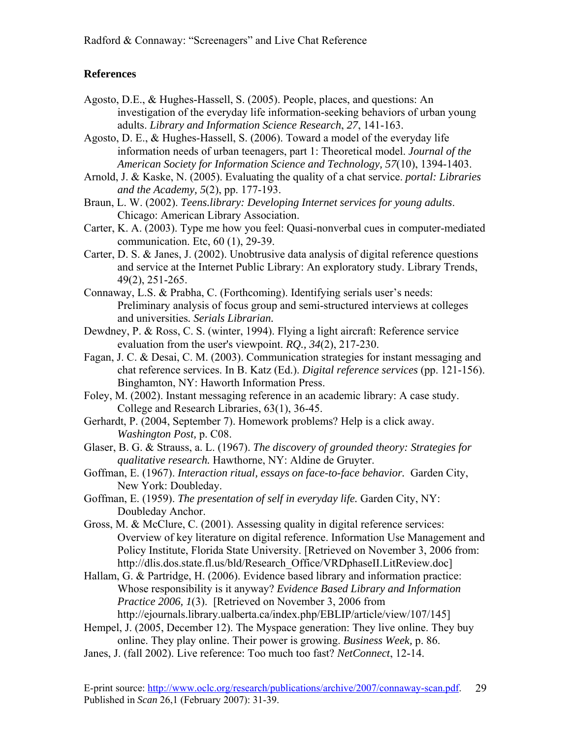## **References**

- Agosto, D.E., & Hughes-Hassell, S. (2005). People, places, and questions: An investigation of the everyday life information-seeking behaviors of urban young adults. *Library and Information Science Research*, *27*, 141-163.
- Agosto, D. E., & Hughes-Hassell, S. (2006). Toward a model of the everyday life information needs of urban teenagers, part 1: Theoretical model. *Journal of the American Society for Information Science and Technology, 57*(10), 1394-1403.
- Arnold, J. & Kaske, N. (2005). Evaluating the quality of a chat service. *portal: Libraries and the Academy, 5*(2), pp. 177-193.
- Braun, L. W. (2002). *Teens.library: Developing Internet services for young adults*. Chicago: American Library Association.
- Carter, K. A. (2003). Type me how you feel: Quasi-nonverbal cues in computer-mediated communication. Etc, 60 (1), 29-39.
- Carter, D. S. & Janes, J. (2002). Unobtrusive data analysis of digital reference questions and service at the Internet Public Library: An exploratory study. Library Trends, 49(2), 251-265.
- Connaway, L.S. & Prabha, C. (Forthcoming). Identifying serials user's needs: Preliminary analysis of focus group and semi-structured interviews at colleges and universities*. Serials Librarian.*
- Dewdney, P. & Ross, C. S. (winter, 1994). Flying a light aircraft: Reference service evaluation from the user's viewpoint. *RQ., 34*(2), 217-230.
- Fagan, J. C. & Desai, C. M. (2003). Communication strategies for instant messaging and chat reference services. In B. Katz (Ed.). *Digital reference services* (pp. 121-156). Binghamton, NY: Haworth Information Press.
- Foley, M. (2002). Instant messaging reference in an academic library: A case study. College and Research Libraries, 63(1), 36-45.
- Gerhardt, P. (2004, September 7). Homework problems? Help is a click away. *Washington Post,* p. C08.
- Glaser, B. G. & Strauss, a. L. (1967). *The discovery of grounded theory: Strategies for qualitative research.* Hawthorne, NY: Aldine de Gruyter.
- Goffman, E. (1967). *Interaction ritual, essays on face-to-face behavior.* Garden City, New York: Doubleday.
- Goffman, E. (1959). *The presentation of self in everyday life.* Garden City, NY: Doubleday Anchor.
- Gross, M. & McClure, C. (2001). Assessing quality in digital reference services: Overview of key literature on digital reference. Information Use Management and Policy Institute, Florida State University. [Retrieved on November 3, 2006 from: [http://dlis.dos.state.](http://dlis.dos.state/)fl.us/bld/Research\_Office/VRDphaseII.LitReview.doc]
- Hallam, G. & Partridge, H. (2006). Evidence based library and information practice: Whose responsibility is it anyway? *Evidence Based Library and Information Practice 2006, 1*(3). [Retrieved on November 3, 2006 from http://ejournals.library.ualberta.ca/index.php/EBLIP/article/view/107/145]
- Hempel, J. (2005, December 12). The Myspace generation: They live online. They buy online. They play online. Their power is growing. *Business Week,* p. 86.
- Janes, J. (fall 2002). Live reference: Too much too fast? *NetConnect*, 12-14.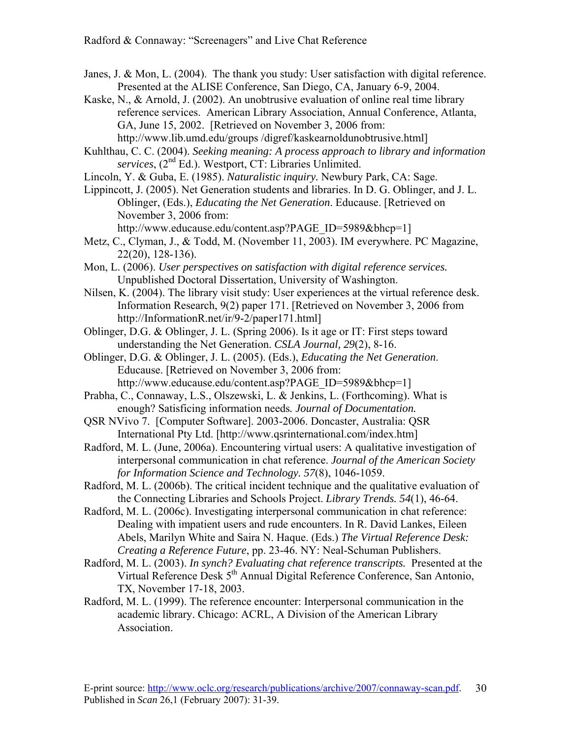- Janes, J. & Mon, L. (2004). The thank you study: User satisfaction with digital reference. Presented at the ALISE Conference, San Diego, CA, January 6-9, 2004.
- Kaske, N., & Arnold, J. (2002). An unobtrusive evaluation of online real time library reference services. American Library Association, Annual Conference, Atlanta, GA, June 15, 2002. [Retrieved on November 3, 2006 from: [http://www.lib.umd.edu/groups /digref/kaskearnoldunobtrusive.html\]](http://www.lib.umd.edu/groups%20/digref/kaskearnoldunobtrusive.html)
- Kuhlthau, C. C. (2004). *Seeking meaning: A process approach to library and information services*, (2nd Ed.). Westport, CT: Libraries Unlimited.
- Lincoln, Y. & Guba, E. (1985). *Naturalistic inquiry.* Newbury Park, CA: Sage.
- Lippincott, J. (2005). Net Generation students and libraries. In D. G. Oblinger, and J. L. Oblinger, (Eds.), *Educating the Net Generation*. Educause. [Retrieved on November 3, 2006 from:

[http://www.educause.edu/content.asp?PAGE\\_ID=5989&bhcp=1](http://www.educause.edu/content.asp?PAGE_ID=5989&bhcp=1)]

- Metz, C., Clyman, J., & Todd, M. (November 11, 2003). IM everywhere. PC Magazine, 22(20), 128-136).
- Mon, L. (2006). *User perspectives on satisfaction with digital reference services.* Unpublished Doctoral Dissertation, University of Washington.
- Nilsen, K. (2004). The library visit study: User experiences at the virtual reference desk. Information Research, 9(2) paper 171. [Retrieved on November 3, 2006 from http://InformationR.net/ir/9-2/paper171.html]
- Oblinger, D.G. & Oblinger, J. L. (Spring 2006). Is it age or IT: First steps toward understanding the Net Generation. *CSLA Journal, 29*(2), 8-16.
- Oblinger, D.G. & Oblinger, J. L. (2005). (Eds.), *Educating the Net Generation*. Educause. [Retrieved on November 3, 2006 from: [http://www.educause.edu/content.asp?PAGE\\_ID=5989&bhcp=1](http://www.educause.edu/content.asp?PAGE_ID=5989&bhcp=1)]
- Prabha, C., Connaway, L.S., Olszewski, L. & Jenkins, L. (Forthcoming). What is enough? Satisficing information needs*. Journal of Documentation.*
- QSR NVivo 7. [Computer Software]. 2003-2006. Doncaster, Australia: QSR International Pty Ltd. [http://www.qsrinternational.com/index.htm]
- Radford, M. L. (June, 2006a). Encountering virtual users: A qualitative investigation of interpersonal communication in chat reference. *Journal of the American Society for Information Science and Technology. 57*(8), 1046-1059.
- Radford, M. L. (2006b). The critical incident technique and the qualitative evaluation of the Connecting Libraries and Schools Project. *Library Trends. 54*(1), 46-64.
- Radford, M. L. (2006c). Investigating interpersonal communication in chat reference: Dealing with impatient users and rude encounters. In R. David Lankes, Eileen Abels, Marilyn White and Saira N. Haque. (Eds.) *The Virtual Reference Desk: Creating a Reference Future*, pp. 23-46. NY: Neal-Schuman Publishers.
- Radford, M. L. (2003). *In synch? Evaluating chat reference transcripts.* Presented at the Virtual Reference Desk 5<sup>th</sup> Annual Digital Reference Conference, San Antonio, TX, November 17-18, 2003.
- Radford, M. L. (1999). The reference encounter: Interpersonal communication in the academic library. Chicago: ACRL, A Division of the American Library Association.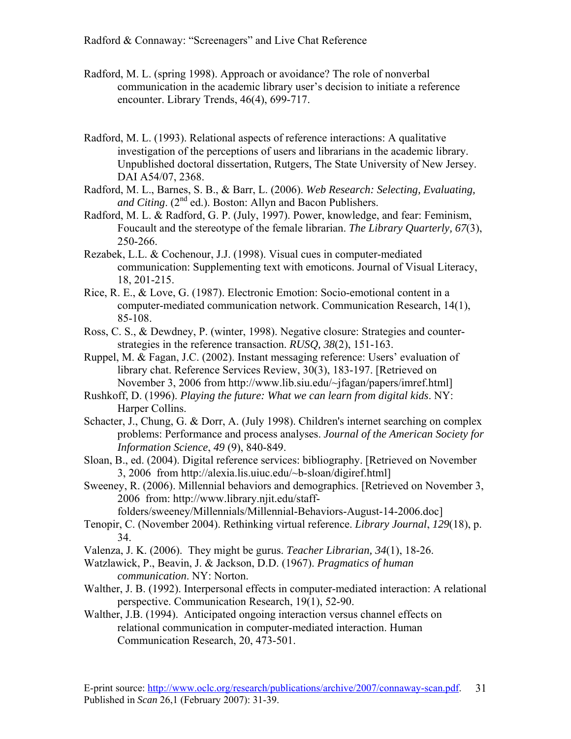- Radford, M. L. (spring 1998). Approach or avoidance? The role of nonverbal communication in the academic library user's decision to initiate a reference encounter. Library Trends, 46(4), 699-717.
- Radford, M. L. (1993). Relational aspects of reference interactions: A qualitative investigation of the perceptions of users and librarians in the academic library. Unpublished doctoral dissertation, Rutgers, The State University of New Jersey. DAI A54/07, 2368.
- Radford, M. L., Barnes, S. B., & Barr, L. (2006). *Web Research: Selecting, Evaluating,*  and Citing. (2<sup>nd</sup> ed.). Boston: Allyn and Bacon Publishers.
- Radford, M. L. & Radford, G. P. (July, 1997). Power, knowledge, and fear: Feminism, Foucault and the stereotype of the female librarian. *The Library Quarterly, 67*(3), 250-266.
- Rezabek, L.L. & Cochenour, J.J. (1998). Visual cues in computer-mediated communication: Supplementing text with emoticons. Journal of Visual Literacy, 18, 201-215.
- Rice, R. E., & Love, G. (1987). Electronic Emotion: Socio-emotional content in a computer-mediated communication network. Communication Research, 14(1), 85-108.
- Ross, C. S., & Dewdney, P. (winter, 1998). Negative closure: Strategies and counterstrategies in the reference transaction. *RUSQ, 38*(2), 151-163.
- Ruppel, M. & Fagan, J.C. (2002). Instant messaging reference: Users' evaluation of library chat. Reference Services Review, 30(3), 183-197. [Retrieved on November 3, 2006 from [http://www.lib.siu.edu/~jfagan/papers/imref.html](http://www.lib.siu.edu/%7Ejfagan/papers/imref.html)]
- Rushkoff, D. (1996). *Playing the future: What we can learn from digital kids*. NY: Harper Collins.
- Schacter, J., Chung, G. & Dorr, A. (July 1998). [Children's internet searching on complex](javascript:__doLinkPostBack()  [problems: Performance and process analyses.](javascript:__doLinkPostBack() *Journal of the American Society for Information Science*, *49* (9), 840-849.
- Sloan, B., ed. (2004). Digital reference services: bibliography. [Retrieved on November 3, 2006 from [http://alexia.lis.uiuc.edu/~b-sloan/digiref.html](http://alexia.lis.uiuc.edu/%7Eb-sloan/digiref.html)]
- Sweeney, R. (2006). Millennial behaviors and demographics. [Retrieved on November 3, 2006 from: [http://www.library.njit.edu/staff-](http://www.library.njit.edu/staff-folders/sweeney/Millennials/Millennial-Behaviors-August-14-2006.doc)

[folders/sweeney/Millennials/Millennial-Behaviors-August-14-2006.doc\]](http://www.library.njit.edu/staff-folders/sweeney/Millennials/Millennial-Behaviors-August-14-2006.doc)

- Tenopir, C. (November 2004). Rethinking virtual reference. *Library Journal*, *129*(18), p. 34.
- Valenza, J. K. (2006). They might be gurus. *Teacher Librarian, 34*(1), 18-26.
- Watzlawick, P., Beavin, J. & Jackson, D.D. (1967). *Pragmatics of human communication*. NY: Norton.
- Walther, J. B. (1992). Interpersonal effects in computer-mediated interaction: A relational perspective. Communication Research, 19(1), 52-90.
- Walther, J.B. (1994). Anticipated ongoing interaction versus channel effects on relational communication in computer-mediated interaction. Human Communication Research, 20, 473-501.